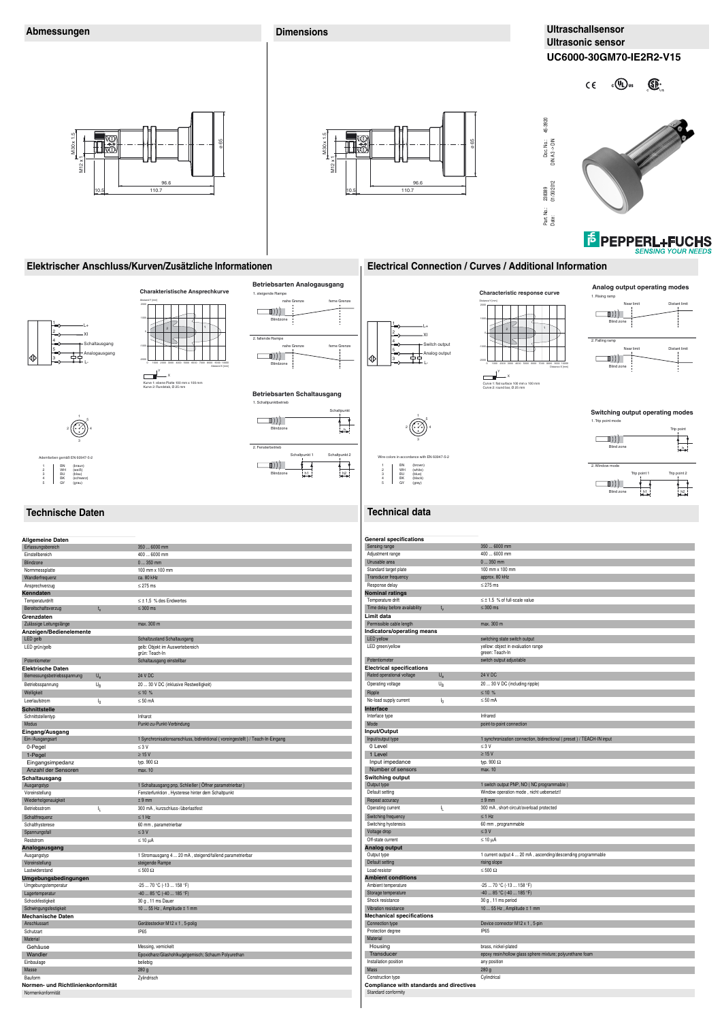# **Technische Daten Technical data**

1 BN<br>2 WH<br>3 BU<br>4 BK<br>5 GY

h

▙▁▜

**Betriebsarten Schaltausgang** 

1 BN BN<br>WH<br>BU<br>BK<br>GY 3 BU<br>4 BK<br>5 GY

Schaltpunkt

Schaltpunkt 2

 $h$ <sub>h</sub><br> $h$ <sub>h</sub><br> $h$ <sub>h</sub><br> $h$ <sub>h</sub><br> $h$ <sub>h</sub><br> $h$ <sub>h</sub><br> $h$ <sub>h</sub><br> $h$ <sub>h</sub>

1. Schaltpunktbetrieb

 $\Box$  )))

 $\Box$  )))

Blindz

Blindzone

 $2. F$ 

h1 h2



**Switching output operating modes** 

Trip point

1. Trip point mode

2. Window mode

 $\Box$  )))

Trip point 1 Trip point 2

Blind zone

 $\Box$  )))

Blind zone

Curve 1: flat surface 100 mm x 100 mm Curve 2: round bar, Ø 25 mm

 $\frac{1}{\frac{1}{2}}$ 

1

3

4 5

with EN 60947-5-2

2

(brown) (white) (blue) (black) (gray)

(braun) (weiß) (blau) (schwarz) (grau)

| <b>Allgemeine Daten</b>             |             |                                                                                |
|-------------------------------------|-------------|--------------------------------------------------------------------------------|
| Erfassungsbereich                   |             | 350  6000 mm                                                                   |
| Einstellbereich                     |             | 400  6000 mm                                                                   |
| Blindzone                           |             | $0350$ mm                                                                      |
| Normmessplatte                      |             | 100 mm x 100 mm                                                                |
| Wandlerfrequenz                     |             | ca. 80 kHz                                                                     |
| Ansprechverzug                      |             | $\leq$ 275 ms                                                                  |
| Kenndaten                           |             |                                                                                |
| Temperaturdrift                     |             | $\leq \pm 1.5$ % des Endwertes                                                 |
| Bereitschaftsverzug                 | $t_v$       | $\leq 300$ ms                                                                  |
| Grenzdaten                          |             |                                                                                |
| Zulässige Leitungslänge             |             |                                                                                |
|                                     |             | max. 300 m                                                                     |
| Anzeigen/Bedienelemente<br>LED gelb |             | Schaltzustand Schaltausgang                                                    |
|                                     |             |                                                                                |
| LED grün/gelb                       |             | gelb: Objekt im Auswertebereich<br>grün: Teach-In                              |
| Potentiometer                       |             | Schaltausgang einstellbar                                                      |
| <b>Elektrische Daten</b>            |             |                                                                                |
| Bemessungsbetriebsspannung          | $U_{\rm e}$ | <b>24 V DC</b>                                                                 |
|                                     |             |                                                                                |
| Betriebsspannung                    | $U_{\rm B}$ | 20  30 V DC (inklusive Restwelligkeit)                                         |
| Welligkeit                          |             | $≤ 10 %$                                                                       |
| Leerlaufstrom                       | $I_0$       | $\leq 50$ mA                                                                   |
| <b>Schnittstelle</b>                |             |                                                                                |
| Schnittstellentyp                   |             | Infrarot                                                                       |
| Modus                               |             | Punkt-zu-Punkt-Verbindung                                                      |
| Eingang/Ausgang                     |             |                                                                                |
| Ein-/Ausgangsart                    |             | 1 Synchronisationsanschluss, bidirektional (voreingestellt) / Teach-In-Eingang |
| 0-Pegel                             |             | $\leq 3$ V                                                                     |
| 1-Pegel                             |             | $\geq 15$ V                                                                    |
| Eingangsimpedanz                    |             | typ. 900 $\Omega$                                                              |
| Anzahl der Sensoren                 |             | max. 10                                                                        |
| Schaltausgang                       |             |                                                                                |
| Ausgangstyp                         |             | 1 Schaltausgang pnp, Schließer (Öffner parametrierbar)                         |
| Voreinstellung                      |             | Fensterfunktion, Hysterese hinter dem Schaltpunkt                              |
| Wiederholgenauigkeit                |             | $± 9$ mm                                                                       |
| Betriebsstrom                       | IL.         | 300 mA, kurzschluss-/überlastfest                                              |
| Schaltfrequenz                      |             | $\leq$ 1 Hz                                                                    |
| Schalthysterese                     |             | 60 mm, parametrierbar                                                          |
| Spannungsfall                       |             | $\leq 3$ V                                                                     |
|                                     |             |                                                                                |
| Reststrom                           |             | $\leq 10 \mu A$                                                                |
| Analogausgang                       |             |                                                                                |
| Ausgangstyp                         |             | 1 Stromausgang 4  20 mA, steigend/fallend parametrierbar                       |
| Voreinstellung                      |             | steigende Rampe                                                                |
| Lastwiderstand                      |             | $\leq 500 \Omega$                                                              |
| Umgebungsbedingungen                |             |                                                                                |
| Umgebungstemperatur                 |             | $-2570$ °C (-13  158 °F)                                                       |
| Lagertemperatur                     |             | $-40$ 85 °C (-40  185 °F)                                                      |
| Schockfestigkeit                    |             | 30 g, 11 ms Dauer                                                              |
| Schwingungsfestigkeit               |             | 10  55 Hz, Amplitude ± 1 mm                                                    |
| <b>Mechanische Daten</b>            |             |                                                                                |
| Anschlussart                        |             | Gerätestecker M12 x 1, 5-polig                                                 |
| Schutzart                           |             | <b>IP65</b>                                                                    |
| Material                            |             |                                                                                |
| Gehäuse                             |             | Messing, vernickelt                                                            |
| Wandler                             |             | Epoxidharz/Glashohlkugelgemisch; Schaum Polyurethan                            |
| Einbaulage                          |             | beliebig                                                                       |
| Masse                               |             | 280 g                                                                          |
| Bauform                             |             | Zylindrisch                                                                    |
| Normen- und Richtlinienkonformität  |             |                                                                                |
| Normenkonformität                   |             |                                                                                |
|                                     |             |                                                                                |



| <b>General specifications</b>            |                |                                                                       |
|------------------------------------------|----------------|-----------------------------------------------------------------------|
| Sensing range                            |                | 350  6000 mm                                                          |
| Adjustment range                         |                | 400  6000 mm                                                          |
| Unusable area                            |                | $0350$ mm                                                             |
| Standard target plate                    |                | 100 mm x 100 mm                                                       |
| Transducer frequency                     |                | approx. 80 kHz                                                        |
| Response delay                           |                | $\leq$ 275 ms                                                         |
| <b>Nominal ratings</b>                   |                |                                                                       |
| Temperature drift                        |                | $\leq \pm 1.5$ % of full-scale value                                  |
| Time delay before availability           | $t_v$          | $\leq 300$ ms                                                         |
| Limit data                               |                |                                                                       |
| Permissible cable length                 |                | max. 300 m                                                            |
| Indicators/operating means               |                |                                                                       |
| <b>LED</b> yellow                        |                | switching state switch output                                         |
| LED green/yellow                         |                | yellow: object in evaluation range                                    |
|                                          |                | green: Teach-In                                                       |
| Potentiometer                            |                | switch output adjustable                                              |
| <b>Electrical specifications</b>         |                |                                                                       |
| Rated operational voltage                | $U_{e}$        | <b>24 V DC</b>                                                        |
| Operating voltage                        | $U_{\rm B}$    | 20  30 V DC (including ripple)                                        |
| Ripple                                   |                | $≤ 10$ %                                                              |
| No-load supply current                   | I <sub>0</sub> | $\leq 50$ mA                                                          |
| Interface                                |                |                                                                       |
| Interface type                           |                | Infrared                                                              |
| Mode                                     |                | point-to-point connection                                             |
| Input/Output                             |                |                                                                       |
| Input/output type                        |                | 1 synchronization connection, bidirectional (preset) / TEACH-IN input |
| 0 Level                                  |                | $\leq 3$ V                                                            |
| 1 Level                                  |                | $\geq$ 15 V                                                           |
| Input impedance                          |                | typ. 900 $\Omega$                                                     |
| Number of sensors                        |                | max. 10                                                               |
| <b>Switching output</b>                  |                |                                                                       |
| Output type                              |                | 1 switch output PNP, NO (NC programmable)                             |
| Default setting                          |                | Window operation mode, nicht uebersetzt!                              |
| Repeat accuracy                          |                | $± 9$ mm                                                              |
| Operating current                        | IL.            | 300 mA, short-circuit/overload protected                              |
| Switching frequency                      |                | $\leq 1$ Hz                                                           |
| Switching hysteresis                     |                | 60 mm, programmable                                                   |
| Voltage drop                             |                | $\leq 3$ V                                                            |
| Off-state current                        |                | $\leq 10 \mu A$                                                       |
| Analog output                            |                |                                                                       |
| Output type                              |                | 1 current output 4  20 mA, ascending/descending programmable          |
| Default setting                          |                | rising slope                                                          |
| Load resistor                            |                | $< 500 \Omega$                                                        |
| <b>Ambient conditions</b>                |                |                                                                       |
| Ambient temperature                      |                | -25  70 °C (-13  158 °F)                                              |
| Storage temperature                      |                | $-4085$ °C (-40  185 °F)                                              |
| Shock resistance                         |                | 30 g, 11 ms period                                                    |
| Vibration resistance                     |                | 10  55 Hz, Amplitude ± 1 mm                                           |
| <b>Mechanical specifications</b>         |                |                                                                       |
| Connection type                          |                | Device connector M12 x 1, 5-pin                                       |
| Protection degree                        |                | IP65                                                                  |
| Material                                 |                |                                                                       |
| Housing                                  |                | brass, nickel-plated                                                  |
| Transducer                               |                | epoxy resin/hollow glass sphere mixture; polyurethane foam            |
| Installation position                    |                | any position                                                          |
| Mass                                     |                | 280 g                                                                 |
| Construction type                        |                | Cylindrical                                                           |
| Compliance with standards and directives |                |                                                                       |
| Standard conformity                      |                |                                                                       |